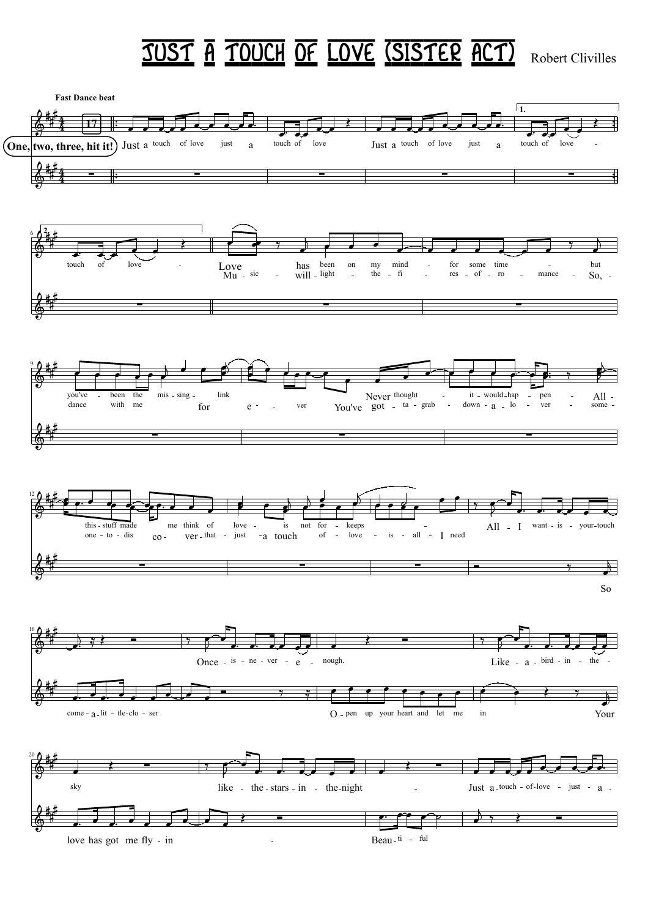## **JUST A TOUCH OF LOVE (SISTER ACT)** Robert Clivilles